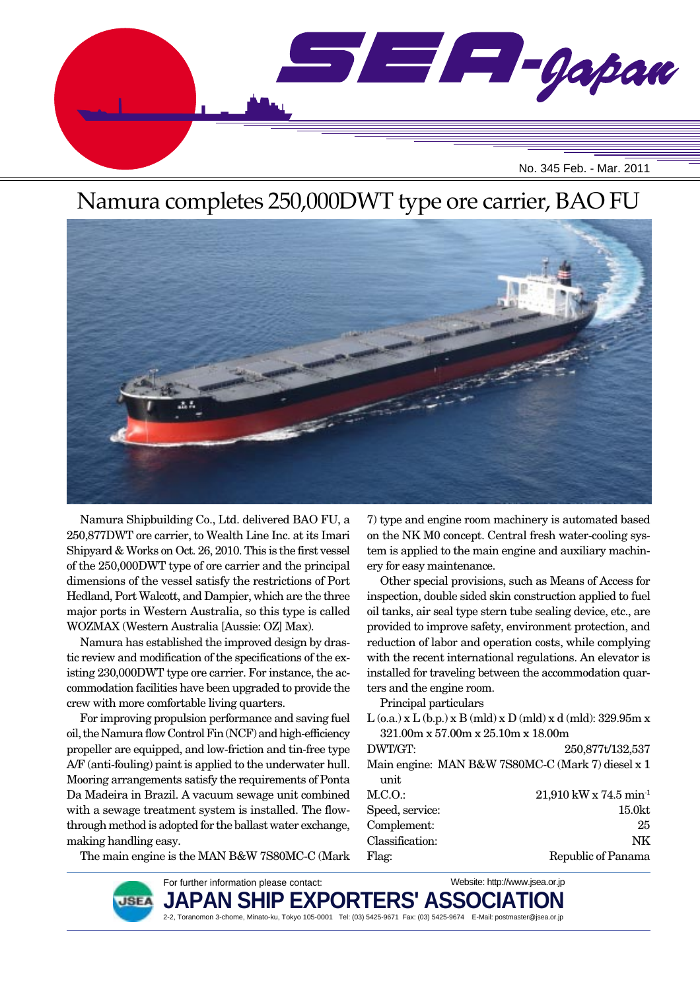

# Namura completes 250,000DWT type ore carrier, BAO FU



Namura Shipbuilding Co., Ltd. delivered BAO FU, a 250,877DWT ore carrier, to Wealth Line Inc. at its Imari Shipyard & Works on Oct. 26, 2010. This is the first vessel of the 250,000DWT type of ore carrier and the principal dimensions of the vessel satisfy the restrictions of Port Hedland, Port Walcott, and Dampier, which are the three major ports in Western Australia, so this type is called WOZMAX (Western Australia [Aussie: OZ] Max).

Namura has established the improved design by drastic review and modification of the specifications of the existing 230,000DWT type ore carrier. For instance, the accommodation facilities have been upgraded to provide the crew with more comfortable living quarters.

For improving propulsion performance and saving fuel oil, the Namura flow Control Fin (NCF) and high-efficiency propeller are equipped, and low-friction and tin-free type A/F (anti-fouling) paint is applied to the underwater hull. Mooring arrangements satisfy the requirements of Ponta Da Madeira in Brazil. A vacuum sewage unit combined with a sewage treatment system is installed. The flowthrough method is adopted for the ballast water exchange, making handling easy.

7) type and engine room machinery is automated based on the NK M0 concept. Central fresh water-cooling system is applied to the main engine and auxiliary machinery for easy maintenance.

Other special provisions, such as Means of Access for inspection, double sided skin construction applied to fuel oil tanks, air seal type stern tube sealing device, etc., are provided to improve safety, environment protection, and reduction of labor and operation costs, while complying with the recent international regulations. An elevator is installed for traveling between the accommodation quarters and the engine room.

Principal particulars

 $L$  (o.a.) x  $L$  (b.p.) x  $B$  (mld) x  $D$  (mld) x d (mld): 329.95m x 321.00m x 57.00m x 25.10m x 18.00m

DWT/GT: 250,877t/132,537 Main engine: MAN B&W 7S80MC-C (Mark 7) diesel x 1 unit

| $21,910$ kW x 74.5 min <sup>-1</sup> |
|--------------------------------------|
| 15.0kt                               |
| 25                                   |
| NK                                   |
| Republic of Panama                   |
|                                      |

The main engine is the MAN B&W 7S80MC-C (Mark

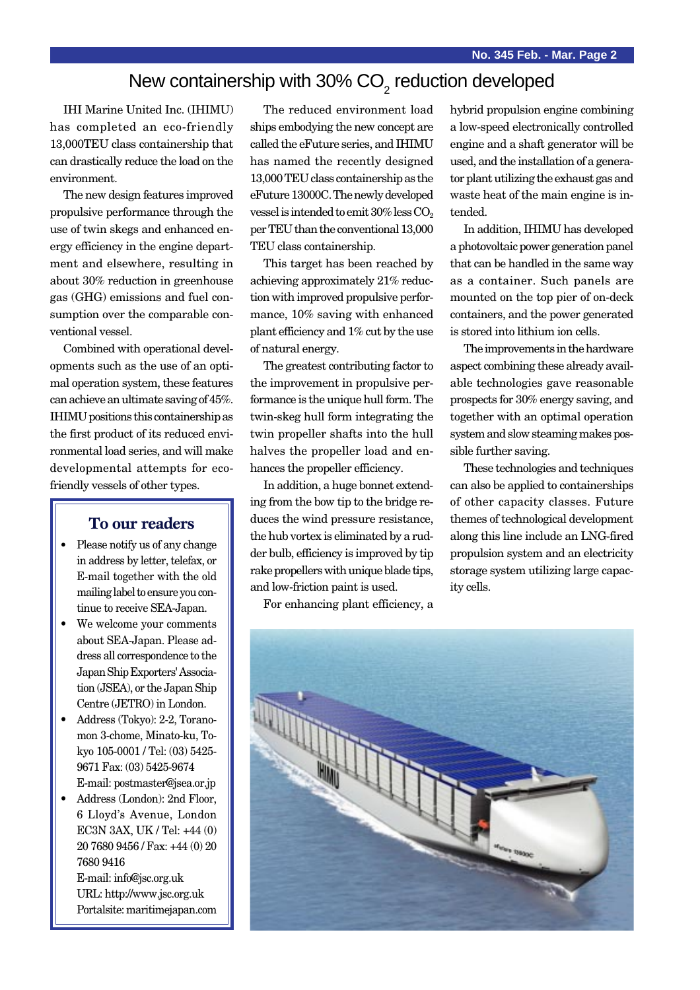## New containership with 30%  $\mathsf{CO}_2^{}$  reduction developed

IHI Marine United Inc. (IHIMU) has completed an eco-friendly 13,000TEU class containership that can drastically reduce the load on the environment.

The new design features improved propulsive performance through the use of twin skegs and enhanced energy efficiency in the engine department and elsewhere, resulting in about 30% reduction in greenhouse gas (GHG) emissions and fuel consumption over the comparable conventional vessel.

Combined with operational developments such as the use of an optimal operation system, these features can achieve an ultimate saving of 45%. IHIMU positions this containership as the first product of its reduced environmental load series, and will make developmental attempts for ecofriendly vessels of other types.

#### **To our readers**

- Please notify us of any change in address by letter, telefax, or E-mail together with the old mailing label to ensure you continue to receive SEA-Japan.
- We welcome your comments about SEA-Japan. Please address all correspondence to the Japan Ship Exporters' Association (JSEA), or the Japan Ship Centre (JETRO) in London.
- Address (Tokyo): 2-2, Toranomon 3-chome, Minato-ku, Tokyo 105-0001 / Tel: (03) 5425- 9671 Fax: (03) 5425-9674 E-mail: postmaster@jsea.or.jp
- Address (London): 2nd Floor, 6 Lloyd's Avenue, London EC3N 3AX, UK / Tel: +44 (0) 20 7680 9456 / Fax: +44 (0) 20 7680 9416 E-mail: info@jsc.org.uk

URL: http://www.jsc.org.uk Portalsite: maritimejapan.com

The reduced environment load ships embodying the new concept are called the eFuture series, and IHIMU has named the recently designed 13,000 TEU class containership as the eFuture 13000C. The newly developed vessel is intended to emit  $30\%$  less  $CO<sub>2</sub>$ per TEU than the conventional 13,000 TEU class containership.

This target has been reached by achieving approximately 21% reduction with improved propulsive performance, 10% saving with enhanced plant efficiency and 1% cut by the use of natural energy.

The greatest contributing factor to the improvement in propulsive performance is the unique hull form. The twin-skeg hull form integrating the twin propeller shafts into the hull halves the propeller load and enhances the propeller efficiency.

In addition, a huge bonnet extending from the bow tip to the bridge reduces the wind pressure resistance, the hub vortex is eliminated by a rudder bulb, efficiency is improved by tip rake propellers with unique blade tips, and low-friction paint is used.

For enhancing plant efficiency, a

hybrid propulsion engine combining a low-speed electronically controlled engine and a shaft generator will be used, and the installation of a generator plant utilizing the exhaust gas and waste heat of the main engine is intended.

In addition, IHIMU has developed a photovoltaic power generation panel that can be handled in the same way as a container. Such panels are mounted on the top pier of on-deck containers, and the power generated is stored into lithium ion cells.

The improvements in the hardware aspect combining these already available technologies gave reasonable prospects for 30% energy saving, and together with an optimal operation system and slow steaming makes possible further saving.

These technologies and techniques can also be applied to containerships of other capacity classes. Future themes of technological development along this line include an LNG-fired propulsion system and an electricity storage system utilizing large capacity cells.

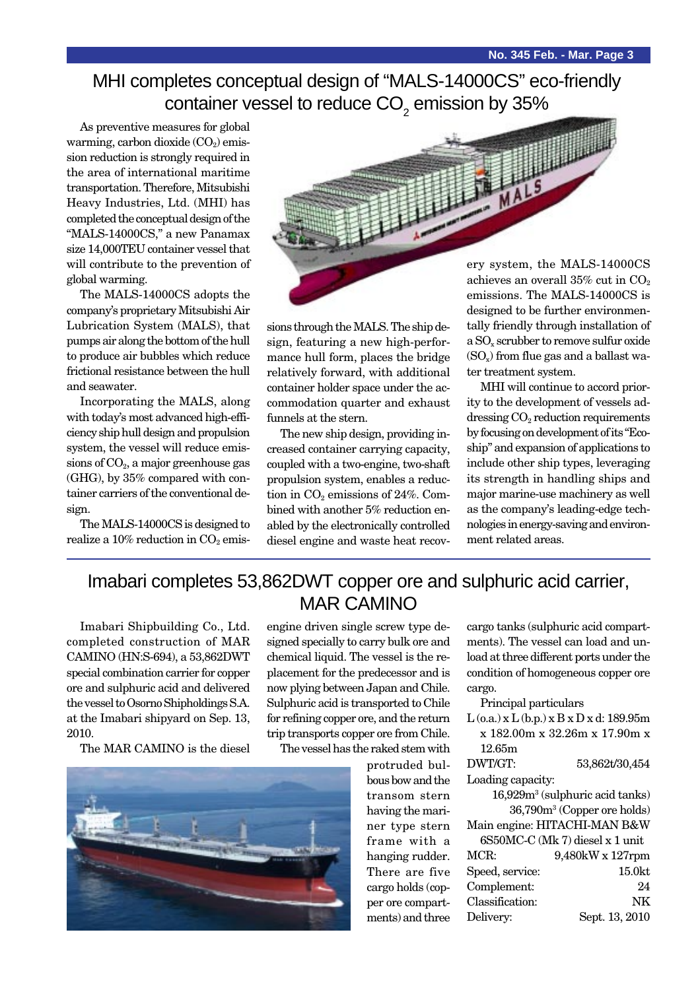## MHI completes conceptual design of "MALS-14000CS" eco-friendly container vessel to reduce CO $_2$  emission by 35%

As preventive measures for global warming, carbon dioxide  $(CO<sub>2</sub>)$  emission reduction is strongly required in the area of international maritime transportation. Therefore, Mitsubishi Heavy Industries, Ltd. (MHI) has completed the conceptual design of the "MALS-14000CS," a new Panamax size 14,000TEU container vessel that will contribute to the prevention of global warming.

The MALS-14000CS adopts the company's proprietary Mitsubishi Air Lubrication System (MALS), that pumps air along the bottom of the hull to produce air bubbles which reduce frictional resistance between the hull and seawater.

Incorporating the MALS, along with today's most advanced high-efficiency ship hull design and propulsion system, the vessel will reduce emissions of CO<sub>2</sub>, a major greenhouse gas (GHG), by 35% compared with container carriers of the conventional design.

The MALS-14000CS is designed to realize a 10% reduction in  $CO<sub>2</sub>$  emissions through the MALS. The ship design, featuring a new high-performance hull form, places the bridge relatively forward, with additional container holder space under the accommodation quarter and exhaust funnels at the stern.

The new ship design, providing increased container carrying capacity, coupled with a two-engine, two-shaft propulsion system, enables a reduction in  $CO<sub>2</sub>$  emissions of 24%. Combined with another 5% reduction enabled by the electronically controlled diesel engine and waste heat recovery system, the MALS-14000CS achieves an overall  $35\%$  cut in  $CO<sub>2</sub>$ emissions. The MALS-14000CS is designed to be further environmentally friendly through installation of a SO<sub>x</sub> scrubber to remove sulfur oxide  $(SO<sub>x</sub>)$  from flue gas and a ballast water treatment system.

NATION AND STREET

MHI will continue to accord priority to the development of vessels addressing  $CO<sub>2</sub>$  reduction requirements by focusing on development of its "Ecoship" and expansion of applications to include other ship types, leveraging its strength in handling ships and major marine-use machinery as well as the company's leading-edge technologies in energy-saving and environment related areas.

### Imabari completes 53,862DWT copper ore and sulphuric acid carrier, MAR CAMINO

Imabari Shipbuilding Co., Ltd. completed construction of MAR CAMINO (HN:S-694), a 53,862DWT special combination carrier for copper ore and sulphuric acid and delivered the vessel to Osorno Shipholdings S.A. at the Imabari shipyard on Sep. 13, 2010.

The MAR CAMINO is the diesel

engine driven single screw type designed specially to carry bulk ore and chemical liquid. The vessel is the replacement for the predecessor and is now plying between Japan and Chile. Sulphuric acid is transported to Chile for refining copper ore, and the return trip transports copper ore from Chile.

The vessel has the raked stem with

protruded bulbous bow and the transom stern having the mariner type stern frame with a hanging rudder. There are five cargo holds (copper ore compartments) and three

```
cargo tanks (sulphuric acid compart-
ments). The vessel can load and un-
load at three different ports under the
condition of homogeneous copper ore
cargo.
```
Principal particulars

|         | $L$ (o.a.) x $L$ (b.p.) x $B$ x $D$ x d: 189.95m |
|---------|--------------------------------------------------|
|         | x 182.00m x 32.26m x 17.90m x                    |
| 12.65m  |                                                  |
| DWT/GT: | 53,862t/30,454                                   |

Loading capacity:

16,929m3 (sulphuric acid tanks) 36,790m3 (Copper ore holds)

Main engine: HITACHI-MAN B&W 6S50MC-C (Mk 7) diesel x 1 unit

|                 | $\sim$           |
|-----------------|------------------|
| MCR:            | 9,480kW x 127rpm |
| Speed, service: | 15.0kt           |
| Complement:     | 24               |
| Classification: | NK               |
| Delivery:       | Sept. 13, 2010   |
|                 |                  |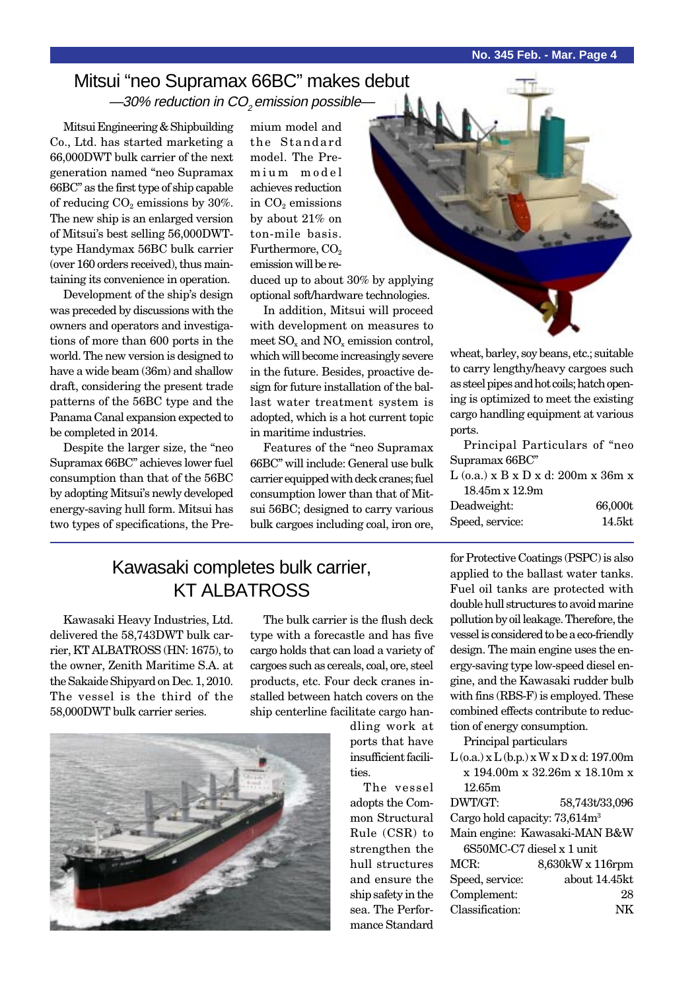#### Mitsui "neo Supramax 66BC" makes debut  $-30\%$  reduction in CO<sub>2</sub> emission possible-

Mitsui Engineering & Shipbuilding Co., Ltd. has started marketing a 66,000DWT bulk carrier of the next generation named "neo Supramax 66BC" as the first type of ship capable of reducing  $CO<sub>2</sub>$  emissions by 30%. The new ship is an enlarged version of Mitsui's best selling 56,000DWTtype Handymax 56BC bulk carrier (over 160 orders received), thus maintaining its convenience in operation.

Development of the ship's design was preceded by discussions with the owners and operators and investigations of more than 600 ports in the world. The new version is designed to have a wide beam (36m) and shallow draft, considering the present trade patterns of the 56BC type and the Panama Canal expansion expected to be completed in 2014.

Despite the larger size, the "neo Supramax 66BC" achieves lower fuel consumption than that of the 56BC by adopting Mitsui's newly developed energy-saving hull form. Mitsui has two types of specifications, the Premium model and the Standard model. The Premium model achieves reduction in  $CO<sub>2</sub>$  emissions by about 21% on ton-mile basis. Furthermore, CO<sub>2</sub> emission will be re-

duced up to about 30% by applying optional soft/hardware technologies.

In addition, Mitsui will proceed with development on measures to meet  $SO_x$  and  $NO_x$  emission control, which will become increasingly severe in the future. Besides, proactive design for future installation of the ballast water treatment system is adopted, which is a hot current topic in maritime industries.

Features of the "neo Supramax 66BC" will include: General use bulk carrier equipped with deck cranes; fuel consumption lower than that of Mitsui 56BC; designed to carry various bulk cargoes including coal, iron ore,

wheat, barley, soy beans, etc.; suitable to carry lengthy/heavy cargoes such as steel pipes and hot coils; hatch opening is optimized to meet the existing cargo handling equipment at various ports.

Principal Particulars of "neo Supramax 66BC"

| $L$ (o.a.) x B x D x d: 200m x 36m x |         |
|--------------------------------------|---------|
| $18.45m \times 12.9m$                |         |
| Deadweight:                          | 66,000t |
| Speed, service:                      | 14.5kt  |

### Kawasaki completes bulk carrier, KT ALBATROSS

Kawasaki Heavy Industries, Ltd. delivered the 58,743DWT bulk carrier, KT ALBATROSS (HN: 1675), to the owner, Zenith Maritime S.A. at the Sakaide Shipyard on Dec. 1, 2010. The vessel is the third of the 58,000DWT bulk carrier series.

The bulk carrier is the flush deck type with a forecastle and has five cargo holds that can load a variety of cargoes such as cereals, coal, ore, steel products, etc. Four deck cranes installed between hatch covers on the ship centerline facilitate cargo han-

ties.

dling work at ports that have insufficient facili-

The vessel adopts the Common Structural Rule (CSR) to strengthen the hull structures and ensure the ship safety in the sea. The Performance Standard

for Protective Coatings (PSPC) is also applied to the ballast water tanks. Fuel oil tanks are protected with double hull structures to avoid marine pollution by oil leakage. Therefore, the vessel is considered to be a eco-friendly design. The main engine uses the energy-saving type low-speed diesel engine, and the Kawasaki rudder bulb with fins (RBS-F) is employed. These combined effects contribute to reduction of energy consumption.

Principal particulars

 $L$  (o.a.) x  $L$  (b.p.) x W x D x d: 197.00m x 194.00m x 32.26m x 18.10m x 12.65m

| DWT/GT:                         | 58,743t/33,096                |
|---------------------------------|-------------------------------|
| Cargo hold capacity: $73,614m3$ |                               |
|                                 | Main engine: Kawasaki-MAN B&W |
| 6S50MC-C7 diesel x 1 unit       |                               |
| MCR:                            | 8,630kW x 116rpm              |
| Speed, service:                 | about 14.45kt                 |
| Complement:                     | 28                            |
| Classification:                 |                               |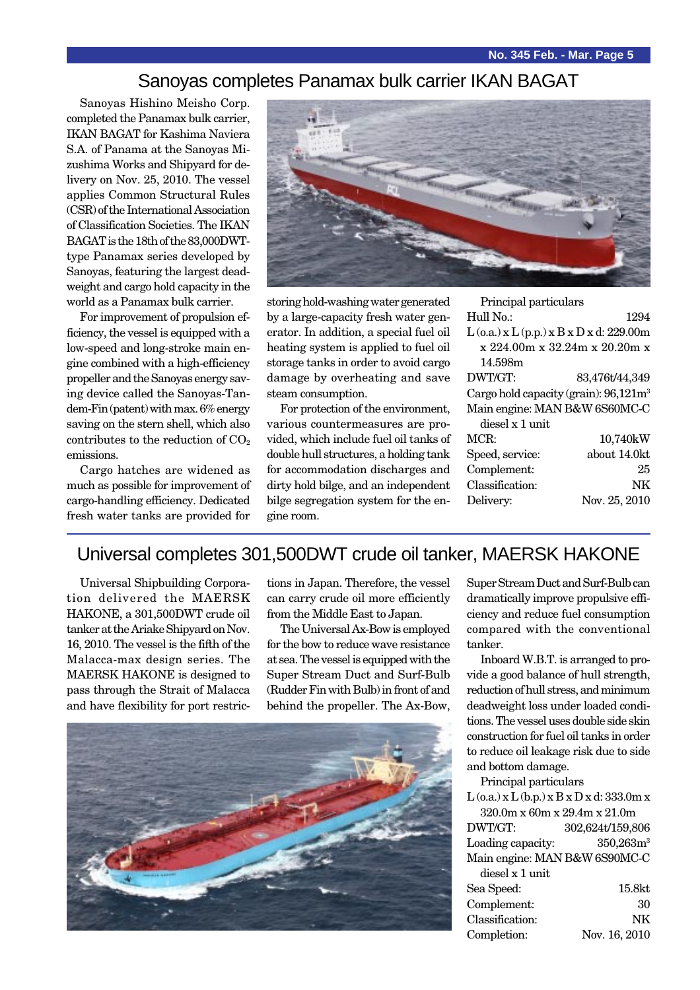#### Sanoyas completes Panamax bulk carrier IKAN BAGAT

Sanoyas Hishino Meisho Corp. completed the Panamax bulk carrier, IKAN BAGAT for Kashima Naviera S.A. of Panama at the Sanoyas Mizushima Works and Shipyard for delivery on Nov. 25, 2010. The vessel applies Common Structural Rules (CSR) of the International Association of Classification Societies. The IKAN BAGAT is the 18th of the 83,000DWTtype Panamax series developed by Sanoyas, featuring the largest deadweight and cargo hold capacity in the world as a Panamax bulk carrier.

For improvement of propulsion efficiency, the vessel is equipped with a low-speed and long-stroke main engine combined with a high-efficiency propeller and the Sanoyas energy saving device called the Sanoyas-Tandem-Fin (patent) with max. 6% energy saving on the stern shell, which also contributes to the reduction of  $CO<sub>2</sub>$ emissions.

Cargo hatches are widened as much as possible for improvement of cargo-handling efficiency. Dedicated fresh water tanks are provided for



storing hold-washing water generated by a large-capacity fresh water generator. In addition, a special fuel oil heating system is applied to fuel oil storage tanks in order to avoid cargo damage by overheating and save steam consumption.

For protection of the environment, various countermeasures are provided, which include fuel oil tanks of double hull structures, a holding tank for accommodation discharges and dirty hold bilge, and an independent bilge segregation system for the engine room.

| Principal particulars                             |                |
|---------------------------------------------------|----------------|
| Hull No.:                                         | 1294           |
| $L$ (o.a.) x $L$ (p.p.) x $B$ x $D$ x d: 229.00m  |                |
| x 224.00m x 32.24m x 20.20m x                     |                |
| 14.598m                                           |                |
| DWT/GT:                                           | 83,476t/44,349 |
| Cargo hold capacity (grain): 96,121m <sup>3</sup> |                |
| Main engine: MAN B&W 6S60MC-C                     |                |
| diesel x 1 unit                                   |                |
| MCR:                                              | 10,740kW       |
| Speed, service:                                   | about 14.0kt   |
| Complement:                                       | 25             |
| Classification:                                   | NK             |
| Delivery:                                         | Nov. 25, 2010  |
|                                                   |                |

#### Universal completes 301,500DWT crude oil tanker, MAERSK HAKONE

Universal Shipbuilding Corporation delivered the MAERSK HAKONE, a 301,500DWT crude oil tanker at the Ariake Shipyard on Nov. 16, 2010. The vessel is the fifth of the Malacca-max design series. The MAERSK HAKONE is designed to pass through the Strait of Malacca and have flexibility for port restrictions in Japan. Therefore, the vessel can carry crude oil more efficiently from the Middle East to Japan.

The Universal Ax-Bow is employed for the bow to reduce wave resistance at sea. The vessel is equipped with the Super Stream Duct and Surf-Bulb (Rudder Fin with Bulb) in front of and behind the propeller. The Ax-Bow,



Super Stream Duct and Surf-Bulb can dramatically improve propulsive efficiency and reduce fuel consumption compared with the conventional tanker.

Inboard W.B.T. is arranged to provide a good balance of hull strength, reduction of hull stress, and minimum deadweight loss under loaded conditions. The vessel uses double side skin construction for fuel oil tanks in order to reduce oil leakage risk due to side and bottom damage.

Principal particulars

| $L$ (o.a.) x $L$ (b.p.) x $B$ x $D$ x d: 333.0m x |                  |
|---------------------------------------------------|------------------|
| 320.0m x 60m x 29.4m x 21.0m                      |                  |
| DWT/GT:                                           | 302,624t/159,806 |
| Loading capacity:                                 | $350,263m^3$     |
| Main engine: MAN B&W 6S90MC-C                     |                  |
| diesel x 1 unit                                   |                  |
| Sea Speed:                                        | 15.8kt           |
| Complement:                                       | 30               |
| Classification:                                   | NΚ               |
| Completion:                                       | Nov. 16, 2010    |